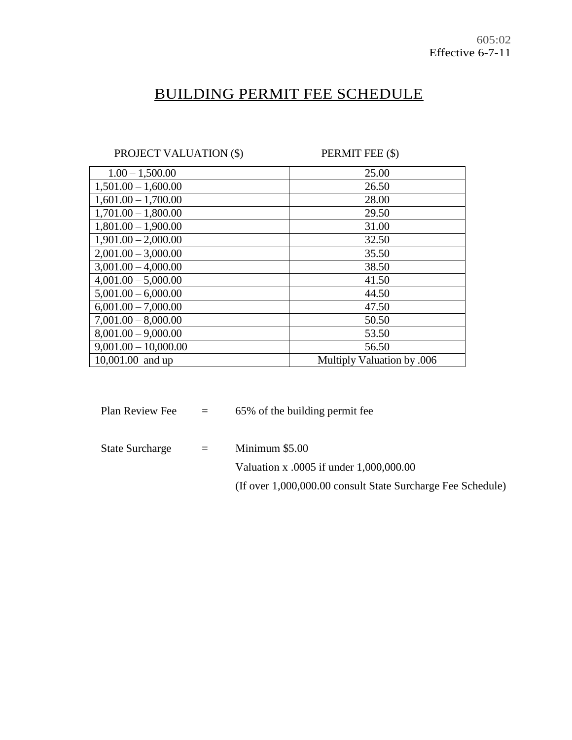# BUILDING PERMIT FEE SCHEDULE

PROJECT VALUATION (\$) PERMIT FEE (\$)

| $1.00 - 1,500.00$      | 25.00                      |
|------------------------|----------------------------|
| $1,501.00 - 1,600.00$  | 26.50                      |
| $1,601.00 - 1,700.00$  | 28.00                      |
| $1,701.00 - 1,800.00$  | 29.50                      |
| $1,801.00 - 1,900.00$  | 31.00                      |
| $1,901.00 - 2,000.00$  | 32.50                      |
| $2,001.00 - 3,000.00$  | 35.50                      |
| $3,001.00 - 4,000.00$  | 38.50                      |
| $4,001.00 - 5,000.00$  | 41.50                      |
| $5,001.00 - 6,000.00$  | 44.50                      |
| $6,001.00 - 7,000.00$  | 47.50                      |
| $7,001.00 - 8,000.00$  | 50.50                      |
| $8,001.00 - 9,000.00$  | 53.50                      |
| $9,001.00 - 10,000.00$ | 56.50                      |
| 10,001.00 and up       | Multiply Valuation by .006 |

| Plan Review Fee        | $\alpha = \alpha$ | 65% of the building permit fee                              |
|------------------------|-------------------|-------------------------------------------------------------|
| <b>State Surcharge</b> | $=$               | Minimum $$5.00$                                             |
|                        |                   | Valuation x .0005 if under 1,000,000.00                     |
|                        |                   | (If over 1,000,000.00 consult State Surcharge Fee Schedule) |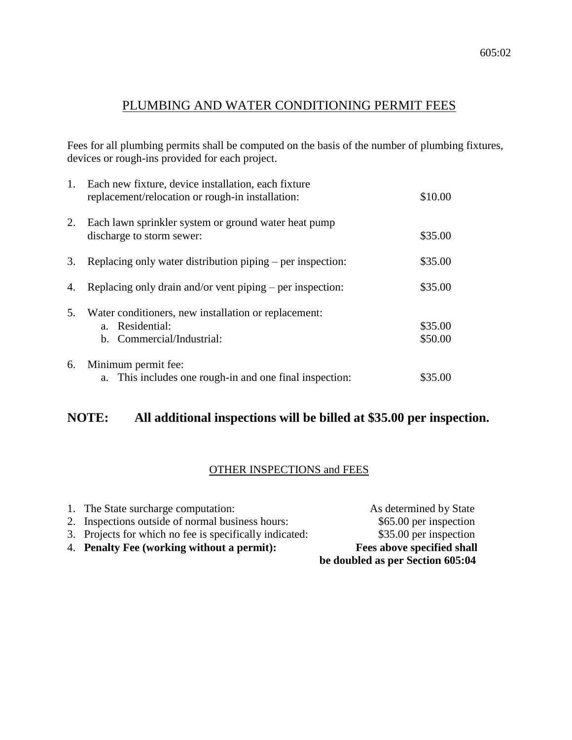# PLUMBING AND WATER CONDITIONING PERMIT FEES

Fees for all plumbing permits shall be computed on the basis of the number of plumbing fixtures, devices or rough-ins provided for each project.

| 1. | Each new fixture, device installation, each fixture<br>replacement/relocation or rough-in installation: | \$10.00            |
|----|---------------------------------------------------------------------------------------------------------|--------------------|
| 2. | Each lawn sprinkler system or ground water heat pump<br>discharge to storm sewer:                       | \$35.00            |
| 3. | Replacing only water distribution piping – per inspection:                                              | \$35.00            |
| 4. | Replacing only drain and/or vent piping – per inspection:                                               | \$35.00            |
| 5. | Water conditioners, new installation or replacement:<br>a. Residential:<br>b. Commercial/Industrial:    | \$35.00<br>\$50.00 |
| 6. | Minimum permit fee:<br>a. This includes one rough-in and one final inspection:                          | \$35.00            |

# **NOTE: All additional inspections will be billed at \$35.00 per inspection.**

## OTHER INSPECTIONS and FEES

|                                                         | be doubled as per Section 605:04 |
|---------------------------------------------------------|----------------------------------|
| 4. Penalty Fee (working without a permit):              | Fees above specified shall       |
| 3. Projects for which no fee is specifically indicated: | \$35.00 per inspection           |
| 2. Inspections outside of normal business hours:        | \$65.00 per inspection           |
| 1. The State surcharge computation:                     | As determined by State           |
|                                                         |                                  |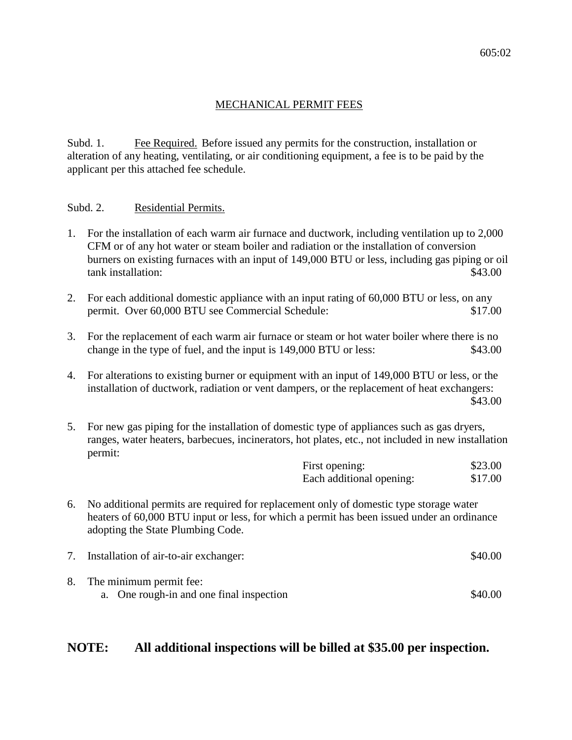#### MECHANICAL PERMIT FEES

Subd. 1. Fee Required. Before issued any permits for the construction, installation or alteration of any heating, ventilating, or air conditioning equipment, a fee is to be paid by the applicant per this attached fee schedule.

#### Subd. 2. Residential Permits.

- 1. For the installation of each warm air furnace and ductwork, including ventilation up to 2,000 CFM or of any hot water or steam boiler and radiation or the installation of conversion burners on existing furnaces with an input of 149,000 BTU or less, including gas piping or oil tank installation:  $\frac{$43.00}{ }$
- 2. For each additional domestic appliance with an input rating of 60,000 BTU or less, on any permit. Over 60,000 BTU see Commercial Schedule: \$17.00
- 3. For the replacement of each warm air furnace or steam or hot water boiler where there is no change in the type of fuel, and the input is 149,000 BTU or less: \$43.00
- 4. For alterations to existing burner or equipment with an input of 149,000 BTU or less, or the installation of ductwork, radiation or vent dampers, or the replacement of heat exchangers: \$43.00
- 5. For new gas piping for the installation of domestic type of appliances such as gas dryers, ranges, water heaters, barbecues, incinerators, hot plates, etc., not included in new installation permit:

| First opening:           | \$23.00 |
|--------------------------|---------|
| Each additional opening: | \$17.00 |

6. No additional permits are required for replacement only of domestic type storage water heaters of 60,000 BTU input or less, for which a permit has been issued under an ordinance adopting the State Plumbing Code.

| Installation of air-to-air exchanger:                                  | \$40.00 |
|------------------------------------------------------------------------|---------|
| 8. The minimum permit fee:<br>a. One rough-in and one final inspection | \$40.00 |

## **NOTE: All additional inspections will be billed at \$35.00 per inspection.**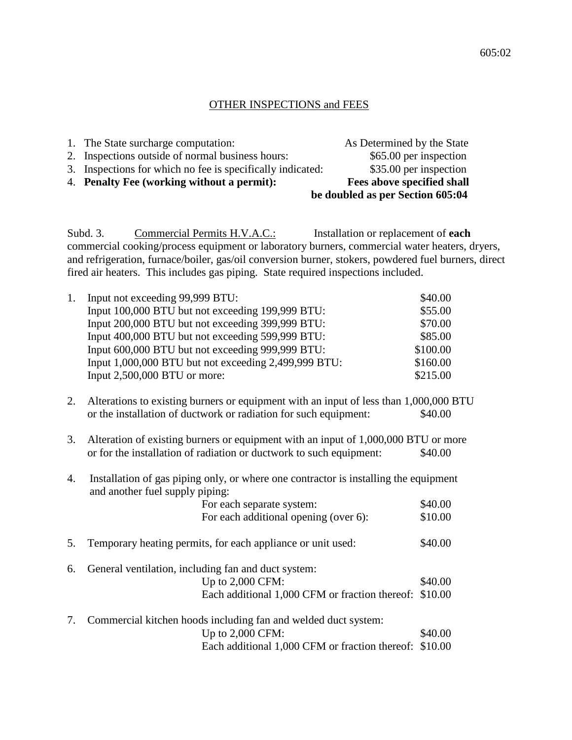#### OTHER INSPECTIONS and FEES

|                                                            | be doubled as per Section 605:04 |
|------------------------------------------------------------|----------------------------------|
| 4. Penalty Fee (working without a permit):                 | Fees above specified shall       |
| 3. Inspections for which no fee is specifically indicated: | \$35.00 per inspection           |
| 2. Inspections outside of normal business hours:           | \$65.00 per inspection           |
| 1. The State surcharge computation:                        | As Determined by the State       |

Subd. 3. Commercial Permits H.V.A.C.: Installation or replacement of **each** commercial cooking/process equipment or laboratory burners, commercial water heaters, dryers, and refrigeration, furnace/boiler, gas/oil conversion burner, stokers, powdered fuel burners, direct fired air heaters. This includes gas piping. State required inspections included.

| 1. | Input not exceeding 99,999 BTU:                      | \$40.00  |
|----|------------------------------------------------------|----------|
|    | Input 100,000 BTU but not exceeding 199,999 BTU:     | \$55.00  |
|    | Input 200,000 BTU but not exceeding 399,999 BTU:     | \$70.00  |
|    | Input 400,000 BTU but not exceeding 599,999 BTU:     | \$85.00  |
|    | Input 600,000 BTU but not exceeding 999,999 BTU:     | \$100.00 |
|    | Input 1,000,000 BTU but not exceeding 2,499,999 BTU: | \$160.00 |
|    | Input 2,500,000 BTU or more:                         | \$215.00 |
|    |                                                      |          |

- 2. Alterations to existing burners or equipment with an input of less than 1,000,000 BTU or the installation of ductwork or radiation for such equipment: \$40.00
- 3. Alteration of existing burners or equipment with an input of 1,000,000 BTU or more or for the installation of radiation or ductwork to such equipment:  $$40.00$
- 4. Installation of gas piping only, or where one contractor is installing the equipment and another fuel supply piping:

|    | For each separate system:                                      | \$40.00 |
|----|----------------------------------------------------------------|---------|
|    | For each additional opening (over 6):                          | \$10.00 |
| 5. | Temporary heating permits, for each appliance or unit used:    | \$40.00 |
| 6. | General ventilation, including fan and duct system:            |         |
|    | Up to 2,000 CFM:                                               | \$40.00 |
|    | Each additional 1,000 CFM or fraction thereof: \$10.00         |         |
| 7. | Commercial kitchen hoods including fan and welded duct system: |         |
|    | Up to $2,000$ CFM:                                             | \$40.00 |
|    | Each additional 1,000 CFM or fraction thereof: \$10.00         |         |